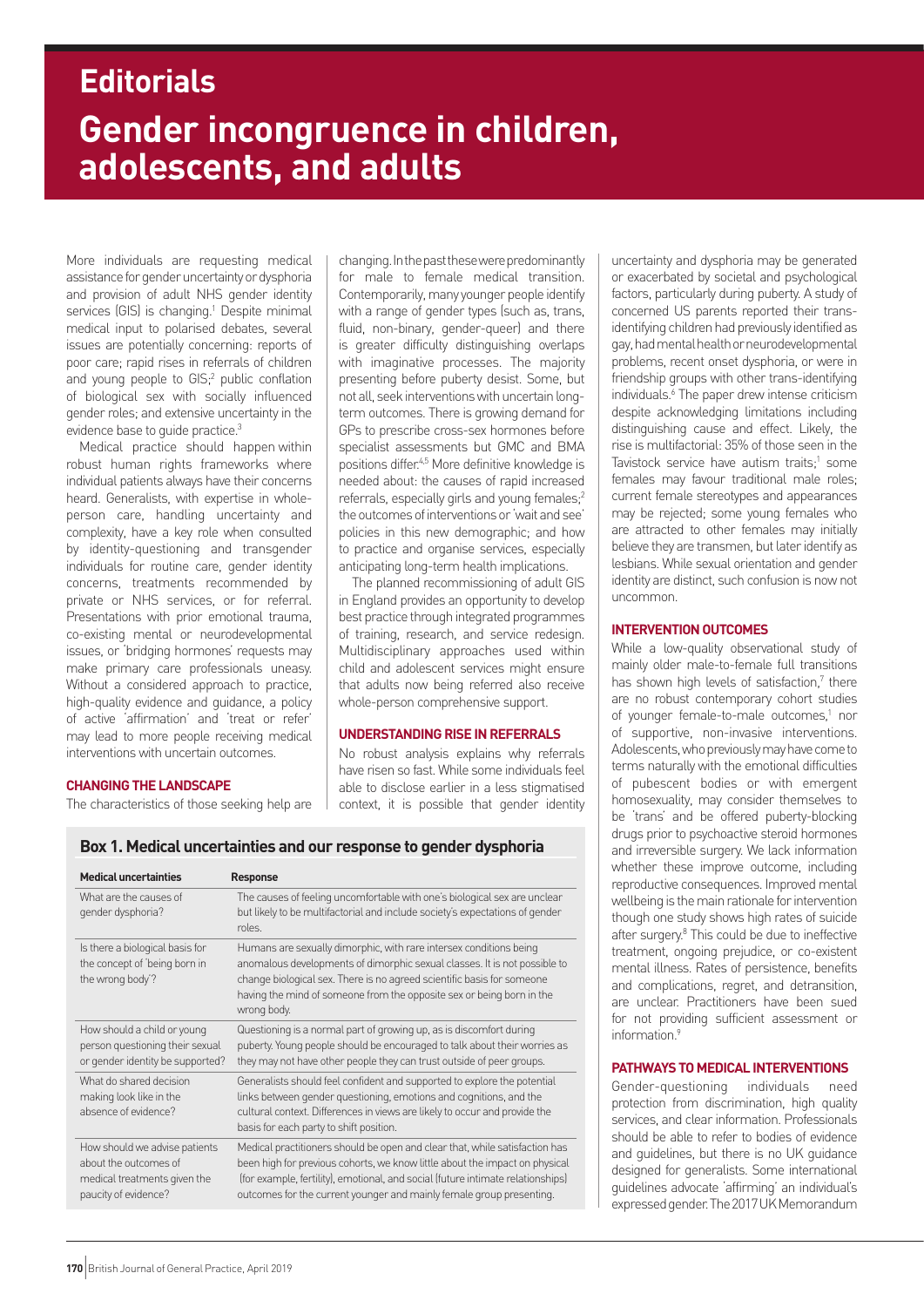# **Gender incongruence in children, adolescents, and adults Editorials**

More individuals are requesting medical assistance for gender uncertainty or dysphoria and provision of adult NHS gender identity services (GIS) is changing.<sup>1</sup> Despite minimal medical input to polarised debates, several issues are potentially concerning: reports of poor care; rapid rises in referrals of children and young people to GIS;<sup>2</sup> public conflation of biological sex with socially influenced gender roles; and extensive uncertainty in the evidence base to quide practice.<sup>3</sup>

Medical practice should happen within robust human rights frameworks where individual patients always have their concerns heard. Generalists, with expertise in wholeperson care, handling uncertainty and complexity, have a key role when consulted by identity-questioning and transgender individuals for routine care, gender identity concerns, treatments recommended by private or NHS services, or for referral. Presentations with prior emotional trauma, co-existing mental or neurodevelopmental issues, or 'bridging hormones' requests may make primary care professionals uneasy. Without a considered approach to practice, high-quality evidence and guidance, a policy of active 'affirmation' and 'treat or refer' may lead to more people receiving medical interventions with uncertain outcomes.

changing. In the past these were predominantly for male to female medical transition. Contemporarily, many younger people identify with a range of gender types (such as, trans, fluid, non-binary, gender-queer) and there is greater difficulty distinguishing overlaps with imaginative processes. The majority presenting before puberty desist. Some, but not all, seek interventions with uncertain longterm outcomes. There is growing demand for GPs to prescribe cross-sex hormones before specialist assessments but GMC and BMA positions differ.4,5 More definitive knowledge is needed about: the causes of rapid increased referrals, especially girls and young females;<sup>2</sup> the outcomes of interventions or 'wait and see' policies in this new demographic; and how to practice and organise services, especially anticipating long-term health implications.

The planned recommissioning of adult GIS in England provides an opportunity to develop best practice through integrated programmes of training, research, and service redesign. Multidisciplinary approaches used within child and adolescent services might ensure that adults now being referred also receive whole-person comprehensive support.

# **UNDERSTANDING RISE IN REFERRALS**

No robust analysis explains why referrals have risen so fast. While some individuals feel able to disclose earlier in a less stigmatised context, it is possible that gender identity

## **CHANGING THE LANDSCAPE**

The characteristics of those seeking help are

**Medical uncertainties Response** What are the causes of The causes of feeling uncomfortable with one's biological sex are unclear gender dysphoria? but likely to be multifactorial and include society's expectations of gender roles. Is there a biological basis for Humans are sexually dimorphic, with rare intersex conditions being anomalous developments of dimorphic sexual classes. It is not possible to the wrong body'? change biological sex. There is no agreed scientific basis for someone having the mind of someone from the opposite sex or being born in the wrong body. How should a child or young Questioning is a normal part of growing up, as is discomfort during person questioning their sexual puberty. Young people should be encouraged to talk about their worries as or gender identity be supported? they may not have other people they can trust outside of peer groups. What do shared decision Generalists should feel confident and supported to explore the potential making look like in the links between gender questioning, emotions and cognitions, and the absence of evidence? cultural context. Differences in views are likely to occur and provide the basis for each party to shift position. How should we advise patients Medical practitioners should be open and clear that, while satisfaction has about the outcomes of been high for previous cohorts, we know little about the impact on physical medical treatments given the (for example, fertility), emotional, and social (future intimate relationships) paucity of evidence? outcomes for the current younger and mainly female group presenting.

**Box 1. Medical uncertainties and our response to gender dysphoria**

uncertainty and dysphoria may be generated or exacerbated by societal and psychological factors, particularly during puberty. A study of concerned US parents reported their transidentifying children had previously identified as gay, had mental health or neurodevelopmental problems, recent onset dysphoria, or were in friendship groups with other trans-identifying individuals.<sup>6</sup> The paper drew intense criticism despite acknowledging limitations including distinguishing cause and effect. Likely, the rise is multifactorial: 35% of those seen in the Tavistock service have autism traits;<sup>1</sup> some females may favour traditional male roles; current female stereotypes and appearances may be rejected; some young females who are attracted to other females may initially believe they are transmen, but later identify as lesbians. While sexual orientation and gender identity are distinct, such confusion is now not uncommon.

# **INTERVENTION OUTCOMES**

While a low-quality observational study of mainly older male-to-female full transitions has shown high levels of satisfaction, $7$  there are no robust contemporary cohort studies of younger female-to-male outcomes,<sup>1</sup> nor of supportive, non-invasive interventions. Adolescents, who previously may have come to terms naturally with the emotional difficulties of pubescent bodies or with emergent homosexuality, may consider themselves to be 'trans' and be offered puberty-blocking drugs prior to psychoactive steroid hormones and irreversible surgery. We lack information whether these improve outcome, including reproductive consequences. Improved mental wellbeing is the main rationale for intervention though one study shows high rates of suicide after surgery.8 This could be due to ineffective treatment, ongoing prejudice, or co-existent mental illness. Rates of persistence, benefits and complications, regret, and detransition, are unclear. Practitioners have been sued for not providing sufficient assessment or information $9$ 

# **PATHWAYS TO MEDICAL INTERVENTIONS**

Gender-questioning individuals need protection from discrimination, high quality services, and clear information. Professionals should be able to refer to bodies of evidence and guidelines, but there is no UK guidance designed for generalists. Some international guidelines advocate 'affirming' an individual's expressed gender. The 2017 UK Memorandum